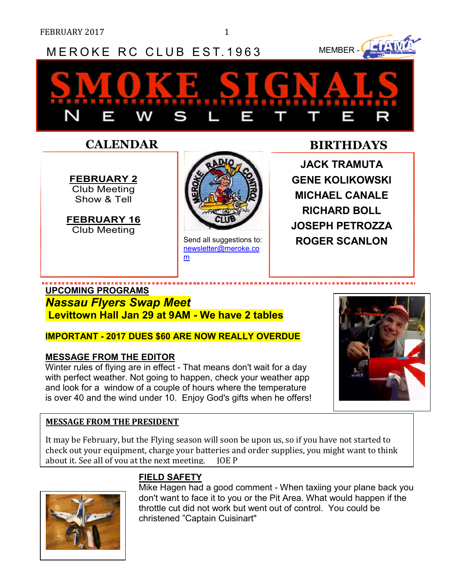# MEROKE RC CLUB EST. 1963 MEMBER-

**FEBRUARY 2** Club Meeting Show & Tell

**FEBRUARY 16** Club Meeting



newsletter@meroke.co m

## **CALENDAR BIRTHDAYS**

**JACK TRAMUTA GENE KOLIKOWSKI MICHAEL CANALE RICHARD BOLL JOSEPH PETROZZA**  Send all suggestions to: **ROGER SCANLON** 

### **UPCOMING PROGRAMS**

*Nassau Flyers Swap Meet*  **Levittown Hall Jan 29 at 9AM - We have 2 tables** 

#### **IMPORTANT - 2017 DUES \$60 ARE NOW REALLY OVERDUE**

#### **MESSAGE FROM THE EDITOR**

Winter rules of flying are in effect - That means don't wait for a day with perfect weather. Not going to happen, check your weather app and look for a window of a couple of hours where the temperature is over 40 and the wind under 10. Enjoy God's gifts when he offers!

#### **MESSAGE FROM THE PRESIDENT**

It may be February, but the Flying season will soon be upon us, so if you have not started to check out your equipment, charge your batteries and order supplies, you might want to think about it. See all of you at the next meeting. JOE P



# **FIELD SAFETY**

Mike Hagen had a good comment - When taxiing your plane back you don't want to face it to you or the Pit Area. What would happen if the throttle cut did not work but went out of control. You could be christened "Captain Cuisinart"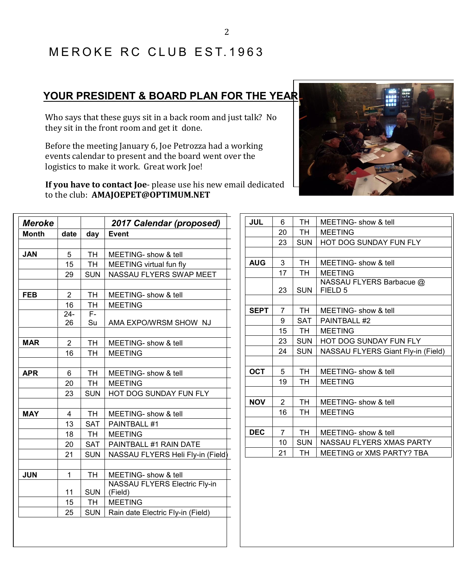# MEROKE RC CLUB EST. 1963

# **YOUR PRESIDENT & BOARD PLAN FOR THE YEAR**

Who says that these guys sit in a back room and just talk? No they sit in the front room and get it done.

Before the meeting January 6, Joe Petrozza had a working events calendar to present and the board went over the logistics to make it work. Great work Joe!

**If you have to contact Joe-** please use his new email ded to the club: **AMAJOEPET@OPTIMUM.NET**

| Meroke       |                |                | 2017 Calendar (proposed)          |
|--------------|----------------|----------------|-----------------------------------|
| <b>Month</b> | date           | day            | <b>Event</b>                      |
|              |                |                |                                   |
| <b>JAN</b>   | 5              | TH             | MEETING- show & tell              |
|              | 15             | <b>TH</b>      | MEETING virtual fun fly           |
|              | 29             | <b>SUN</b>     | NASSAU FLYERS SWAP MEET           |
|              |                |                |                                   |
| <b>FEB</b>   | $\overline{2}$ | <b>TH</b>      | MEETING- show & tell              |
|              | 16             | <b>TH</b>      | <b>MEETING</b>                    |
|              | $24 -$         | $\overline{F}$ |                                   |
|              | 26             | Su             | AMA EXPO/WRSM SHOW NJ             |
|              |                |                |                                   |
| <b>MAR</b>   | $\overline{2}$ | <b>TH</b>      | MEETING- show & tell              |
|              | 16             | <b>TH</b>      | <b>MEETING</b>                    |
|              |                |                |                                   |
| <b>APR</b>   | 6              | TH             | MEETING- show & tell              |
|              | 20             | <b>TH</b>      | <b>MEETING</b>                    |
|              | 23             | <b>SUN</b>     | HOT DOG SUNDAY FUN FLY            |
|              |                |                |                                   |
| <b>MAY</b>   | 4              | TH             | MEETING- show & tell              |
|              | 13             | <b>SAT</b>     | PAINTBALL #1                      |
|              | 18             | <b>TH</b>      | <b>MEETING</b>                    |
|              | 20             | <b>SAT</b>     | PAINTBALL #1 RAIN DATE            |
|              | 21             | <b>SUN</b>     | NASSAU FLYERS Heli Fly-in (Field) |
|              |                |                |                                   |
| <b>JUN</b>   | 1              | TH             | MEETING- show & tell              |
|              |                |                | NASSAU FLYERS Electric Fly-in     |
|              | 11             | <b>SUN</b>     | (Field)                           |
|              | 15             | TH <sub></sub> | <b>MEETING</b>                    |
|              | 25             | <b>SUN</b>     | Rain date Electric Fly-in (Field) |

| cing<br>ιe<br>dedicated |                |            |                                                |
|-------------------------|----------------|------------|------------------------------------------------|
| JUL                     | 6              | <b>TH</b>  | MEETING- show & tell                           |
|                         | 20             | <b>TH</b>  | <b>MEETING</b>                                 |
|                         | 23             | <b>SUN</b> | HOT DOG SUNDAY FUN FLY                         |
|                         |                |            |                                                |
| <b>AUG</b>              | 3              | <b>TH</b>  | MEETING- show & tell                           |
|                         | 17             | <b>TH</b>  | <b>MEETING</b>                                 |
|                         | 23             | <b>SUN</b> | NASSAU FLYERS Barbacue @<br>FIELD <sub>5</sub> |
|                         |                |            |                                                |
| <b>SEPT</b>             | $\overline{7}$ | <b>TH</b>  | MEETING- show & tell                           |
|                         | 9              | <b>SAT</b> | PAINTBALL #2                                   |
|                         | 15             | <b>TH</b>  | <b>MEETING</b>                                 |
|                         | 23             | <b>SUN</b> | <b>HOT DOG SUNDAY FUN FLY</b>                  |
|                         | 24             | <b>SUN</b> | NASSAU FLYERS Giant Fly-in (Field)             |
|                         |                |            |                                                |
| OCT                     | 5              | <b>TH</b>  | MEETING- show & tell                           |
|                         | 19             | TH         | <b>MEETING</b>                                 |
|                         |                |            |                                                |
| <b>NOV</b>              | $\overline{2}$ | <b>TH</b>  | MEETING- show & tell                           |
|                         | 16.            | тн         | MEETING                                        |

| NOV  | 2  | TH         | MEETING- show & tell     |  |
|------|----|------------|--------------------------|--|
|      | 16 | TН         | <b>MEETING</b>           |  |
|      |    |            |                          |  |
| DEC. |    | TH.        | MEETING- show & tell     |  |
|      | 10 | <b>SUN</b> | NASSAU FLYERS XMAS PARTY |  |

21 | TH | MEETING or XMS PARTY? TBA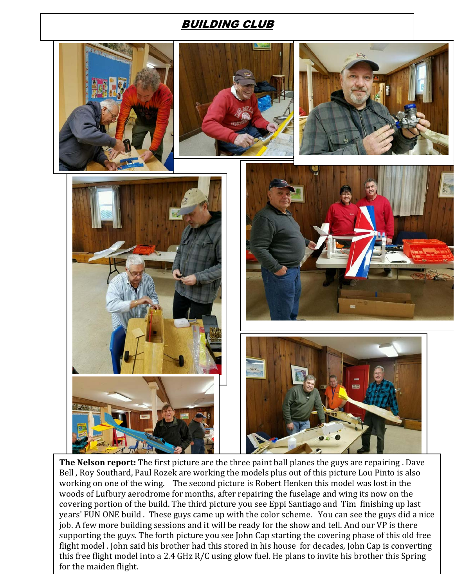## BUILDING CLUB



**The Nelson report:** The first picture are the three paint ball planes the guys are repairing . Dave Bell , Roy Southard, Paul Rozek are working the models plus out of this picture Lou Pinto is also working on one of the wing. The second picture is Robert Henken this model was lost in the woods of Lufbury aerodrome for months, after repairing the fuselage and wing its now on the covering portion of the build. The third picture you see Eppi Santiago and Tim finishing up last years' FUN ONE build . These guys came up with the color scheme. You can see the guys did a nice job. A few more building sessions and it will be ready for the show and tell. And our VP is there supporting the guys. The forth picture you see John Cap starting the covering phase of this old free flight model . John said his brother had this stored in his house for decades, John Cap is converting this free flight model into a 2.4 GHz R/C using glow fuel. He plans to invite his brother this Spring for the maiden flight.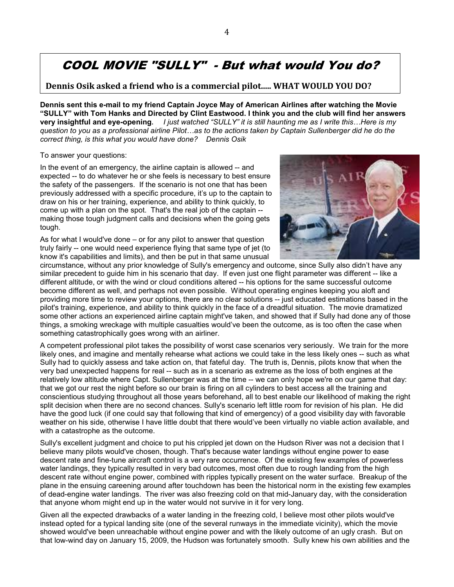# COOL MOVIE "SULLY" - But what would You do?

**Dennis Osik asked a friend who is a commercial pilot..... WHAT WOULD YOU DO?**

**Dennis sent this e-mail to my friend Captain Joyce May of American Airlines after watching the Movie "SULLY" with Tom Hanks and Directed by Clint Eastwood. I think you and the club will find her answers very insightful and eye-opening.** *I just watched "SULLY" it is still haunting me as I write this…Here is my question to you as a professional airline Pilot…as to the actions taken by Captain Sullenberger did he do the correct thing, is this what you would have done? Dennis Osik* 

To answer your questions:

In the event of an emergency, the airline captain is allowed -- and expected -- to do whatever he or she feels is necessary to best ensure the safety of the passengers. If the scenario is not one that has been previously addressed with a specific procedure, it's up to the captain to draw on his or her training, experience, and ability to think quickly, to come up with a plan on the spot. That's the real job of the captain - making those tough judgment calls and decisions when the going gets tough.

As for what I would've done – or for any pilot to answer that question truly fairly -- one would need experience flying that same type of jet (to know it's capabilities and limits), and then be put in that same unusual



circumstance, without any prior knowledge of Sully's emergency and outcome, since Sully also didn't have any similar precedent to guide him in his scenario that day. If even just one flight parameter was different -- like a different altitude, or with the wind or cloud conditions altered -- his options for the same successful outcome become different as well, and perhaps not even possible. Without operating engines keeping you aloft and providing more time to review your options, there are no clear solutions -- just educated estimations based in the pilot's training, experience, and ability to think quickly in the face of a dreadful situation. The movie dramatized some other actions an experienced airline captain might've taken, and showed that if Sully had done any of those things, a smoking wreckage with multiple casualties would've been the outcome, as is too often the case when something catastrophically goes wrong with an airliner.

A competent professional pilot takes the possibility of worst case scenarios very seriously. We train for the more likely ones, and imagine and mentally rehearse what actions we could take in the less likely ones -- such as what Sully had to quickly assess and take action on, that fateful day. The truth is, Dennis, pilots know that when the very bad unexpected happens for real -- such as in a scenario as extreme as the loss of both engines at the relatively low altitude where Capt. Sullenberger was at the time -- we can only hope we're on our game that day: that we got our rest the night before so our brain is firing on all cylinders to best access all the training and conscientious studying throughout all those years beforehand, all to best enable our likelihood of making the right split decision when there are no second chances. Sully's scenario left little room for revision of his plan. He did have the good luck (if one could say that following that kind of emergency) of a good visibility day with favorable weather on his side, otherwise I have little doubt that there would've been virtually no viable action available, and with a catastrophe as the outcome.

Sully's excellent judgment and choice to put his crippled jet down on the Hudson River was not a decision that I believe many pilots would've chosen, though. That's because water landings without engine power to ease descent rate and fine-tune aircraft control is a very rare occurrence. Of the existing few examples of powerless water landings, they typically resulted in very bad outcomes, most often due to rough landing from the high descent rate without engine power, combined with ripples typically present on the water surface. Breakup of the plane in the ensuing careening around after touchdown has been the historical norm in the existing few examples of dead-engine water landings. The river was also freezing cold on that mid-January day, with the consideration that anyone whom might end up in the water would not survive in it for very long.

Given all the expected drawbacks of a water landing in the freezing cold, I believe most other pilots would've instead opted for a typical landing site (one of the several runways in the immediate vicinity), which the movie showed would've been unreachable without engine power and with the likely outcome of an ugly crash. But on that low-wind day on January 15, 2009, the Hudson was fortunately smooth. Sully knew his own abilities and the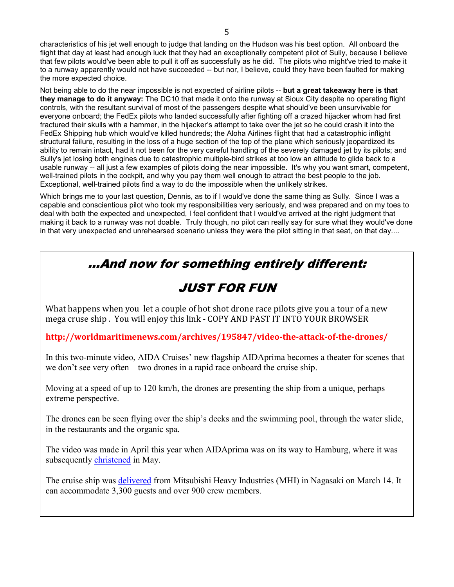characteristics of his jet well enough to judge that landing on the Hudson was his best option. All onboard the flight that day at least had enough luck that they had an exceptionally competent pilot of Sully, because I believe that few pilots would've been able to pull it off as successfully as he did. The pilots who might've tried to make it to a runway apparently would not have succeeded -- but nor, I believe, could they have been faulted for making the more expected choice.

Not being able to do the near impossible is not expected of airline pilots -- **but a great takeaway here is that they manage to do it anyway:** The DC10 that made it onto the runway at Sioux City despite no operating flight controls, with the resultant survival of most of the passengers despite what should've been unsurvivable for everyone onboard; the FedEx pilots who landed successfully after fighting off a crazed hijacker whom had first fractured their skulls with a hammer, in the hijacker's attempt to take over the jet so he could crash it into the FedEx Shipping hub which would've killed hundreds; the Aloha Airlines flight that had a catastrophic inflight structural failure, resulting in the loss of a huge section of the top of the plane which seriously jeopardized its ability to remain intact, had it not been for the very careful handling of the severely damaged jet by its pilots; and Sully's jet losing both engines due to catastrophic multiple-bird strikes at too low an altitude to glide back to a usable runway -- all just a few examples of pilots doing the near impossible. It's why you want smart, competent, well-trained pilots in the cockpit, and why you pay them well enough to attract the best people to the job. Exceptional, well-trained pilots find a way to do the impossible when the unlikely strikes.

Which brings me to your last question, Dennis, as to if I would've done the same thing as Sully. Since I was a capable and conscientious pilot who took my responsibilities very seriously, and was prepared and on my toes to deal with both the expected and unexpected, I feel confident that I would've arrived at the right judgment that making it back to a runway was not doable. Truly though, no pilot can really say for sure what they would've done in that very unexpected and unrehearsed scenario unless they were the pilot sitting in that seat, on that day....

# ...And now for something entirely different:

# JUST FOR FUN

What happens when you let a couple of hot shot drone race pilots give you a tour of a new mega cruse ship . You will enjoy this link - COPY AND PAST IT INTO YOUR BROWSER

**http://worldmaritimenews.com/archives/195847/video-the-attack-of-the-drones/** 

In this two-minute video, AIDA Cruises' new flagship AIDAprima becomes a theater for scenes that we don't see very often – two drones in a rapid race onboard the cruise ship.

Moving at a speed of up to 120 km/h, the drones are presenting the ship from a unique, perhaps extreme perspective.

The drones can be seen flying over the ship's decks and the swimming pool, through the water slide, in the restaurants and the organic spa.

The video was made in April this year when AIDAprima was on its way to Hamburg, where it was subsequently christened in May.

The cruise ship was **delivered** from Mitsubishi Heavy Industries (MHI) in Nagasaki on March 14. It can accommodate 3,300 guests and over 900 crew members.